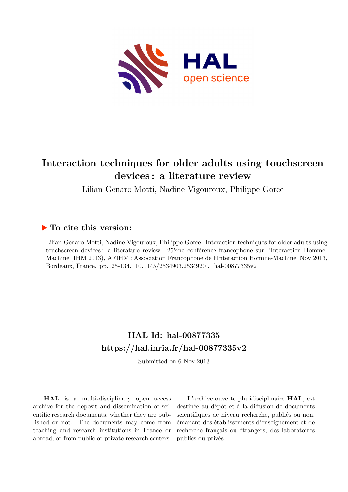

# **Interaction techniques for older adults using touchscreen devices : a literature review**

Lilian Genaro Motti, Nadine Vigouroux, Philippe Gorce

# **To cite this version:**

Lilian Genaro Motti, Nadine Vigouroux, Philippe Gorce. Interaction techniques for older adults using touchscreen devices: a literature review. 25ème conférence francophone sur l'Interaction Homme-Machine (IHM 2013), AFIHM : Association Francophone de l'Interaction Homme-Machine, Nov 2013, Bordeaux, France. pp.125-134, 10.1145/2534903.2534920. hal-00877335v2

# **HAL Id: hal-00877335 <https://hal.inria.fr/hal-00877335v2>**

Submitted on 6 Nov 2013

**HAL** is a multi-disciplinary open access archive for the deposit and dissemination of scientific research documents, whether they are published or not. The documents may come from teaching and research institutions in France or abroad, or from public or private research centers.

L'archive ouverte pluridisciplinaire **HAL**, est destinée au dépôt et à la diffusion de documents scientifiques de niveau recherche, publiés ou non, émanant des établissements d'enseignement et de recherche français ou étrangers, des laboratoires publics ou privés.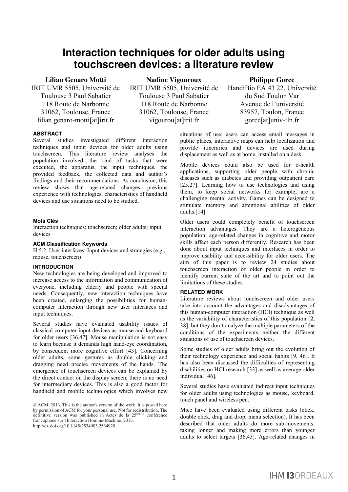# **Interaction techniques for older adults using touchscreen devices: a literature review**

**Lilian Genaro Motti** IRIT UMR 5505, Université de Toulouse 3 Paul Sabatier 118 Route de Narbonne 31062, Toulouse, France lilian.genaro-motti[at]irit.fr

**Nadine Vigouroux** IRIT UMR 5505, Université de Toulouse 3 Paul Sabatier 118 Route de Narbonne 31062, Toulouse, France vigourou[at]irit.fr

# **ABSTRACT**

Several studies investigated different interaction techniques and input devices for older adults using touchscreen. This literature review analyses the population involved, the kind of tasks that were executed, the apparatus, the input techniques, the provided feedback, the collected data and author's findings and their recommendations. As conclusion, this review shows that age-related changes, previous experience with technologies, characteristics of handheld devices and use situations need to be studied.

### **Mots Clés**

Interaction techniques; touchscreen; older adults; input devices

#### **ACM Classification Keywords**

H.5.2. User interfaces: Input devices and strategies (e.g., mouse, touchscreen)

#### **INTRODUCTION**

New technologies are being developed and improved to increase access to the information and communication of everyone, including elderly and people with special needs. Consequently, new interaction techniques have been created, enlarging the possibilities for humancomputer interaction through new user interfaces and input techniques.

Several studies have evaluated usability issues of classical computer input devices as mouse and keyboard for older users [36,47]. Mouse manipulation is not easy to learn because it demands high hand-eye coordination, by consequent more cognitive effort [43]. Concerning older adults, some gestures as double clicking and dragging need precise movements of the hands. The emergence of touchscreen devices can be explained by the direct contact on the display screen; there is no need for intermediary devices. This is also a good factor for handheld and mobile technologies which involves new

© ACM, 2013. This is the author's version of the work. It is posted here by permission of ACM for your personal use. Not for redistribution. The definitive version was published in Actes de la 25<sup>ième</sup> conférence francophone sur l'Interaction Homme-Machine, 2013. <http://dx.doi.org/10.1145/2534903.2534920>

# **Philippe Gorce**

HandiBio EA 43 22, Université du Sud Toulon Var Avenue de l'université 83957, Toulon, France gorce[at]univ-tln.fr

situations of use: users can access email messages in public places, interactive maps can help localization and provide itineraries and devices are used during displacement as well as at home, installed on a desk.

Mobile devices could also be used for e-health applications, supporting older people with chronic diseases such as diabetes and providing outpatient care [25,27]. Learning how to use technologies and using them, to keep social networks for example, are a challenging mental activity. Games can be designed to stimulate memory and attentional abilities of older adults.[14]

Older users could completely benefit of touchscreen interaction advantages. They are a heterogeneous population; age-related changes in cognitive and motor skills affect each person differently. Research has been done about input techniques and interfaces in order to improve usability and accessibility for older users. The aim of this paper is to review 24 studies about touchscreen interaction of older people in order to identify current state of the art and to point out the limitations of these studies.

#### **RELATED WORK**

Literature reviews about touchscreen and older users take into account the advantages and disadvantages of this human-computer interaction (HCI) technique as well as the variability of characteristics of this population **[2**, 38], but they don't analyze the multiple parameters of the conditions of the experiments neither the different situations of use of touchscreen devices.

Some studies of older adults bring out the evolution of their technology experience and social habits [9, 46]. It has also been discussed the difficulties of representing disabilities on HCI research [33] as well as average older individual [46].

Several studies have evaluated indirect input techniques for older adults using technologies as mouse, keyboard, touch panel and wireless pen.

Mice have been evaluated using different tasks (click, double click, drag and drop, menu selection). It has been described that older adults do more sub-movements, taking longer and making more errors than younger adults to select targets [36,43]. Age-related changes in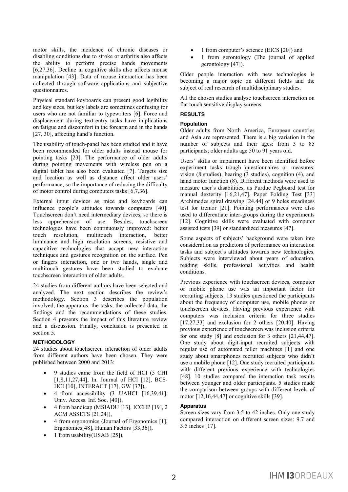motor skills, the incidence of chronic diseases or disabling conditions due to stroke or arthritis also affects the ability to perform precise hands movements [6,27,36]. Decline in cognitive skills also affects mouse manipulation [43]. Data of mouse interaction has been collected through software applications and subjective questionnaires.

Physical standard keyboards can present good legibility and key sizes, but key labels are sometimes confusing for users who are not familiar to typewriters [6]. Force and displacement during text-entry tasks have implications on fatigue and discomfort in the forearm and in the hands [27, 30], affecting hand's function.

The usability of touch-panel has been studied and it have been recommended for older adults instead mouse for pointing tasks [23]. The performance of older adults during pointing movements with wireless pen on a digital tablet has also been evaluated [7]. Targets size and location as well as distance affect older users' performance, so the importance of reducing the difficulty of motor control during computers tasks [6,7,36].

External input devices as mice and keyboards can influence people's attitudes towards computers [40]. Touchscreen don't need intermediary devices, so there is less apprehension of use. Besides, touchscreen technologies have been continuously improved: better touch resolution, multitouch interaction, better luminance and high resolution screens, resistive and capacitive technologies that accept new interaction techniques and gestures recognition on the surface. Pen or fingers interaction, one or two hands, single and multitouch gestures have been studied to evaluate touchscreen interaction of older adults.

24 studies from different authors have been selected and analyzed. The next section describes the review's methodology. Section 3 describes the population involved, the apparatus, the tasks, the collected data, the findings and the recommendations of these studies. Section 4 presents the impact of this literature review and a discussion. Finally, conclusion is presented in section 5.

## **METHODOLOGY**

24 studies about touchscreen interaction of older adults from different authors have been chosen. They were published between 2000 and 2013:

- x 9 studies came from the field of HCI (5 CHI [1,8,11,27,44], In. Journal of HCI [12], BCS-HCI [10], INTERACT [17], GW [37]),
- $\bullet$  4 from accessibility (3 UAHCI [16,39,41], Univ. Access. Inf. Soc. [40]),
- $\bullet$  4 from handicap (MSIADU [13], ICCHP [19], 2 ACM ASSETS [21,24]),
- 4 from ergonomics (Journal of Ergonomics [1], Ergonomics[48], Human Factors [33,36]),
- 1 from usability(USAB [25]),
- 1 from computer's science (EICS [20]) and
- 1 from gerontology (The journal of applied gerontology [47]).

Older people interaction with new technologies is becoming a major topic on different fields and the subject of real research of multidisciplinary studies.

All the chosen studies analyse touchscreen interaction on flat touch sensitive display screens.

# **RESULTS**

## **Population**

Older adults from North America, European countries and Asia are represented. There is a big variation in the number of subjects and their ages: from 3 to 85 participants; older adults age 50 to 91 years old.

Users' skills or impairment have been identified before experiment tasks trough questionnaires or measures: vision (8 studies), hearing (3 studies), cognition (4), and hand motor function (8). Different methods were used to measure user's disabilities, as Purdue Pegboard test for manual dexterity [16,21,47], Paper Folding Test [33] Archimedes spiral drawing [24,44] or 9 holes steadiness test for tremor [21]. Pointing performances were also used to differentiate inter-groups during the experiments [12]. Cognitive skills were evaluated with computer assisted tests [39] or standardized measures [47].

Some aspects of subjects' background were taken into consideration as predictors of performance on interaction tasks and subject's attitudes towards new technologies. Subjects were interviewed about years of education, reading skills, professional activities and health conditions.

Previous experience with touchscreen devices, computer or mobile phone use was an important factor for recruiting subjects. 13 studies questioned the participants about the frequency of computer use, mobile phones or touchscreen devices. Having previous experience with computers was inclusion criteria for three studies  $[17,27,33]$  and exclusion for 2 others  $[20,40]$ . Having previous experience of touchscreen was inclusion criteria for one study [8] and exclusion for 3 others [21,44,47]. One study about digit-input recruited subjects with regular use of automated teller machines [1] and one study about smartphones recruited subjects who didn't use a mobile phone [12]. One study recruited participants with different previous experience with technologies [48]. 10 studies compared the interaction task results between younger and older participants. 5 studies made the comparison between groups with different levels of motor [12,16,44,47] or cognitive skills [39].

## **Apparatus**

Screen sizes vary from 3.5 to 42 inches. Only one study compared interaction on different screen sizes: 9.7 and 2 3.5 inches [17].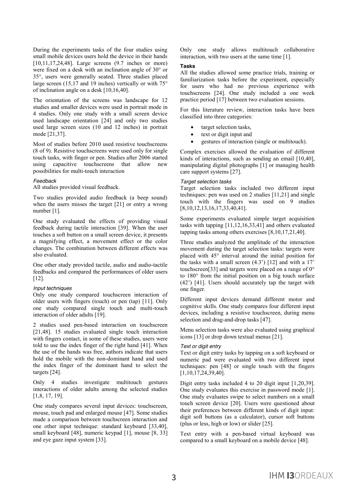During the experiments tasks of the four studies using small mobile devices users hold the device in their hands [10,11,17,24,48]. Large screens (9.7 inches or more) were fixed on a desk with an inclination angle of 30° or 35°, users were generally seated. Three studies placed large screen (15,17 and 19 inches) vertically or with 75° of inclination angle on a desk [10,16,40].

The orientation of the screens was landscape for 12 studies and smaller devices were used in portrait mode in 4 studies. Only one study with a small screen device used landscape orientation [24] and only two studies used large screen sizes (10 and 12 inches) in portrait mode [21,37].

Most of studies before 2010 used resistive touchscreens (8 of 9). Resistive touchscreens were used only for single touch tasks, with finger or pen. Studies after 2006 started using capacitive touchscreens that allow new possibilities for multi-touch interaction

#### *Feedback*

All studies provided visual feedback.

Two studies provided audio feedback (a beep sound) when the users misses the target [21] or entry a wrong number [1].

One study evaluated the effects of providing visual feedback during tactile interaction [39]. When the user touches a soft button on a small screen device, it presents a magnifying effect, a movement effect or the color changes. The combination between different effects was also evaluated.

One other study provided tactile, audio and audio-tactile feedbacks and compared the performances of older users [12].

#### *Input techniques*

Only one study compared touchscreen interaction of older users with fingers (touch) or pen (tap) [11]. Only one study compared single touch and multi-touch interaction of older adults [19].

2 studies used pen-based interaction on touchscreen [21,48]. 15 studies evaluated single touch interaction with fingers contact, in some of these studies, users were told to use the index finger of the right hand [41]. When the use of the hands was free, authors indicate that users hold the mobile with the non-dominant hand and used the index finger of the dominant hand to select the targets [24].

Only 4 studies investigate multitouch gestures interactions of older adults among the selected studies [1,8, 17, 19].

One study compares several input devices: touchscreen, mouse, touch pad and enlarged mouse [47]. Some studies made a comparison between touchscreen interaction and one other input technique: standard keyboard [33,40], small keyboard [48], numeric keypad [1], mouse [8, 33] and eye gaze input system [33].

Only one study allows multitouch collaborative interaction, with two users at the same time [1].

#### **Tasks**

All the studies allowed some practice trials, training or familiarization tasks before the experiment, especially for users who had no previous experience with touchscreens [24]. One study included a one week practice period [17] between two evaluation sessions.

For this literature review, interaction tasks have been classified into three categories:

- target selection tasks,
- text or digit input and
- $\bullet$  gestures of interaction (single or multitouch).

Complex exercises allowed the evaluation of different kinds of interactions, such as sending an email [10,40], manipulating digital photographs [1] or managing health care support systems [27].

#### *Target selection tasks*

Target selection tasks included two different input techniques: pen was used on 2 studies [11,21] and single touch with the fingers was used on 9 studies [8,10,12,13,16,17,33,40,41].

Some experiments evaluated simple target acquisition tasks with tapping [11,12,16,33,41] and others evaluated tapping tasks among others exercises [8,10,17,21,40].

Three studies analyzed the amplitude of the interaction movement during the target selection tasks: targets were placed with 45° interval around the initial position for the tasks with a small screen  $(4.3')$  [12] and with a 17' touchscreen[33] and targets were placed on a range of 0° to 180° from the initial position on a big touch surface (42') [41]. Users should accurately tap the target with one finger.

Different input devices demand different motor and cognitive skills. One study compares four different input devices, including a resistive touchscreen, during menu selection and drag-and-drop tasks [47].

Menu selection tasks were also evaluated using graphical icons [13] or drop down textual menus [21].

#### *Text or digit entry*

Text or digit entry tasks by tapping on a soft keyboard or numeric pad were evaluated with two different input techniques: pen [48] or single touch with the fingers [1,10,17,24,39,40].

Digit entry tasks included 4 to 20 digit input [1,20,39]. One study evaluates this exercise in password mode [1]. One study evaluates swipe to select numbers on a small touch screen device [20]. Users were questioned about their preferences between different kinds of digit input: digit soft buttons (as a calculator), cursor soft buttons (plus or less, high or low) or slider [25].

Text entry with a pen-based virtual keyboard was compared to a small keyboard on a mobile device [48].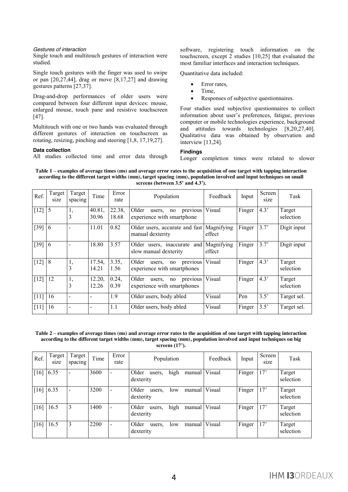#### *Gestures of interaction*

Single touch and multitouch gestures of interaction were studied.

Single touch gestures with the finger was used to swipe or pan  $[20,27,44]$ , drag or move  $[8,17,27]$  and drawing gestures patterns [27,37].

Drag-and-drop performances of older users were compared between four different input devices: mouse, enlarged mouse, touch pane and resistive touchscreen [47].

Multitouch with one or two hands was evaluated through different gestures of interaction on touchscreen as rotating, resizing, pinching and steering [1,8, 17,19,27].

#### **Data collection**

All studies collected time and error data through

software, registering touch information on the touchscreen, except 2 studies [10,25] that evaluated the most familiar interfaces and interaction techniques.

Quantitative data included:

- $\bullet$  Error rates.
- Time,
- Responses of subjective questionnaires.

Four studies used subjective questionnaires to collect information about user's preferences, fatigue, previous computer or mobile technologies experience, background and attitudes towards technologies [8,20,27,40]. Qualitative data was obtained by observation and interview [13,24].

#### **Findings**

Longer completion times were related to slower

**Table 1 – examples of average times (ms) and average error rates to the acquisition of one target with tapping interaction according to the different target widths (mm), target spacing (mm), population involved and input techniques on small screens (between 3.5' and 4.3').**

| Ref.   | Target<br>size | Target<br>spacing | Time            | Error<br>rate   | Population                                                       | Feedback                 | Input  | Screen<br>size | Task                |
|--------|----------------|-------------------|-----------------|-----------------|------------------------------------------------------------------|--------------------------|--------|----------------|---------------------|
| $[12]$ | 5              | 1,<br>3           | 40.81,<br>30.96 | 22.38,<br>18.68 | previous<br>Older<br>users,<br>no<br>experience with smartphone  | Visual                   | Finger | 4.3'           | Target<br>selection |
| $[39]$ | 16             |                   | 11.01           | 0.82            | Older users, accurate and fast Magnifying<br>manual dexterity    | effect                   | Finger | 3.7'           | Digit input         |
| $[39]$ | $\overline{6}$ |                   | 18.80           | 3.57            | Older users, inaccurate<br>slow manual dexterity                 | and Magnifying<br>effect | Finger | 3.7'           | Digit input         |
| $[12]$ | 8              | 1,<br>3           | 17.54,<br>14.21 | 3.35,<br>1.56   | previous<br>Older<br>users,<br>no<br>experience with smartphones | Visual                   | Finger | 4.3'           | Target<br>selection |
| $[12]$ | 12             | I,<br>3           | 12.20,<br>12.26 | 0.24,<br>0.39   | previous<br>Older<br>users.<br>no<br>experience with smartphones | Visual                   | Finger | 4.3'           | Target<br>selection |
| [11]   | 16             |                   |                 | 1.9             | Older users, body abled                                          | Visual                   | Pen    | 3.5'           | Target sel.         |
| [11]   | 16             |                   |                 | 1.1             | Older users, body abled                                          | Visual                   | Finger | 3.5'           | Target sel.         |

| Table 2 – examples of average times (ms) and average error rates to the acquisition of one target with tapping interaction |
|----------------------------------------------------------------------------------------------------------------------------|
| according to the different target widths (mm), target spacing (mm), population involved and input techniques on big        |
| screens $(17)$ .                                                                                                           |

| Ref. | Target<br>size | Target<br>spacing        | Time | Error<br>rate | Population                                     | Feedback      | Input  | Screen<br>size | Task                |
|------|----------------|--------------------------|------|---------------|------------------------------------------------|---------------|--------|----------------|---------------------|
| [16] | 6.35           | $\overline{\phantom{a}}$ | 3600 |               | high<br>Older<br>manual<br>users.<br>dexterity | Visual        | Finger | 17'            | Target<br>selection |
| [16] | 6.35           | $\overline{\phantom{a}}$ | 3200 |               | Older<br>low<br>users.<br>dexterity            | manual Visual | Finger | 17'            | Target<br>selection |
| [16] | 16.5           | 3                        | 1400 |               | high<br>Older<br>manual<br>users.<br>dexterity | Visual        | Finger | 17'            | Target<br>selection |
| [16] | 16.5           | 3                        | 2200 |               | Older<br>manual<br>users.<br>low<br>dexterity  | Visual        | Finger | 17'            | Target<br>selection |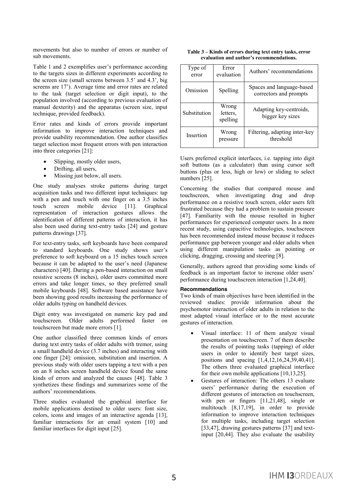movements but also to number of errors or number of sub movements.

Table 1 and 2 exemplifies user's performance according to the targets sizes in different experiments according to the screen size (small screens between 3.5' and 4.3', big screens are 17'). Average time and error rates are related to the task (target selection or digit input), to the population involved (according to previous evaluation of manual dexterity) and the apparatus (screen size, input technique, provided feedback).

Error rates and kinds of errors provide important information to improve interaction techniques and provide usability recommendation. One author classifies target selection most frequent errors with pen interaction into three categories [21]:

- Slipping, mostly older users,
- $\bullet$  Drifting, all users,
- Missing just below, all users.

One study analyses stroke patterns during target acquisition tasks and two different input techniques: tap with a pen and touch with one finger on a 3.5 inches touch screen mobile device [11]. Graphical representation of interaction gestures allows the identification of different patterns of interaction, it has also been used during text-entry tasks [24] and gesture patterns drawings [37].

For text-entry tasks, soft keyboards have been compared to standard keyboards. One study shows user's preference to soft keyboard on a 15 inches touch screen because it can be adapted to the user's need (Japanese characters) [40]. During a pen-based interaction on small resistive screens (8 inches), older users committed more errors and take longer times, so they preferred small mobile keyboards [48]. Software based assistance have been showing good results increasing the performance of older adults typing on handheld devices.

Digit entry was investigated on numeric key pad and touchscreen. Older adults performed faster on touchscreen but made more errors [1].

One author classified three common kinds of errors during text entry tasks of older adults with tremor, using a small handheld device (3.7 inches) and interacting with one finger [24]: omission, substitution and insertion. A previous study with older users tapping a text with a pen on an 8 inches screen handheld device found the same kinds of errors and analyzed the causes [48]. Table 3 synthetizes these findings and summarizes some of the authors' recommendations.

Three studies evaluated the graphical interface for mobile applications destined to older users: font size, colors, icons and images of an interactive agenda [13], familiar interactions for an email system [10] and familiar interfaces for digit input [25].

| Table 3 – Kinds of errors during text entry tasks, error |
|----------------------------------------------------------|
| evaluation and author's recommendations.                 |

| Type of<br>error | Error<br>evaluation           | Authors' recommendations                            |  |  |  |  |
|------------------|-------------------------------|-----------------------------------------------------|--|--|--|--|
| Omission         | Spelling                      | Spaces and language-based<br>correctors and prompts |  |  |  |  |
| Substitution     | Wrong<br>letters.<br>spelling | Adapting key-centroids,<br>bigger key sizes         |  |  |  |  |
| Insertion        | Wrong<br>pressure             | Filtering, adapting inter-key<br>threshold          |  |  |  |  |

Users preferred explicit interfaces, i.e. tapping into digit soft buttons (as a calculator) than using cursor soft buttons (plus or less, high or low) or sliding to select numbers [25].

Concerning the studies that compared mouse and touchscreen, when investigating drag and drop performance on a resistive touch screen, older users felt frustrated because they had a problem to sustain pressure [47]. Familiarity with the mouse resulted in higher performances for experienced computer users. In a more recent study, using capacitive technologies, touchscreen has been recommended instead mouse because it reduces performance gap between younger and older adults when using different manipulation tasks as pointing or clicking, dragging, crossing and steering [8].

Generally, authors agreed that providing some kinds of feedback is an important factor to increase older users' performance during touchscreen interaction [1,24,40].

#### **Recommendations**

Two kinds of main objectives have been identified in the reviewed studies: provide information about the psychomotor interaction of older adults in relation to the most adapted visual interface or to the most accurate gestures of interaction.

- Visual interface: 11 of them analyze visual presentation on touchscreen. 7 of them describe the results of pointing tasks (tapping) of older users in order to identify best target sizes, positions and spacing [1,4,12,16,24,39,40,41]. The others three evaluated graphical interface for their own mobile applications [10,13,25].
- Gestures of interaction: The others 13 evaluate users' performance during the execution of different gestures of interaction on touchscreen, with pen or fingers [11,21,48], single or multitouch [8,17,19], in order to provide information to improve interaction techniques for multiple tasks, including target selection [33,47], drawing gestures patterns [37] and textinput [20,44]. They also evaluate the usability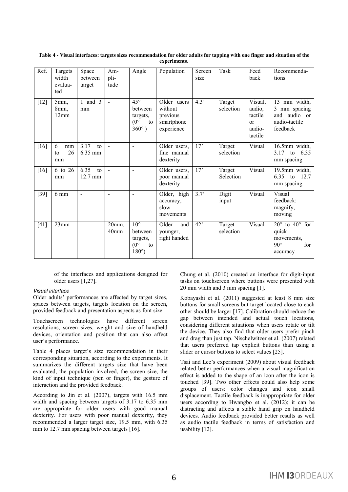| Ref.   | Targets<br>width<br>evalua-<br>ted | Space<br>between<br>target | Am-<br>pli-<br>tude       | Angle                                                                        | Population                                                     | Screen<br>size | Task                | Feed<br>back                                                  | Recommenda-<br>tions                                                                     |
|--------|------------------------------------|----------------------------|---------------------------|------------------------------------------------------------------------------|----------------------------------------------------------------|----------------|---------------------|---------------------------------------------------------------|------------------------------------------------------------------------------------------|
| $[12]$ | 5mm,<br>8 <sub>mm</sub><br>12mm    | 1 and $3$<br>mm            | $\blacksquare$            | $45^{\circ}$<br>between<br>targets,<br>$(0^{\circ}$<br>to<br>$360^\circ$ )   | Older users<br>without<br>previous<br>smartphone<br>experience | 4.3'           | Target<br>selection | Visual,<br>audio.<br>tactile<br>$\alpha$<br>audio-<br>tactile | 13 mm width,<br>3 mm spacing<br>and audio or<br>audio-tactile<br>feedback                |
| [16]   | 6<br>mm<br>26<br>to<br>mm          | 3.17<br>to<br>6.35 mm      | $\blacksquare$            | $\overline{a}$                                                               | Older users,<br>fine manual<br>dexterity                       | 17'            | Target<br>selection | Visual                                                        | 16.5mm width,<br>$3.17$ to<br>6.35<br>mm spacing                                         |
| [16]   | 6 to 26<br>mm                      | 6.35<br>to<br>12.7 mm      | $\overline{a}$            | $\overline{a}$                                                               | Older users,<br>poor manual<br>dexterity                       | 17'            | Target<br>Selection | Visual                                                        | 19.5mm width,<br>6.35 to 12.7<br>mm spacing                                              |
| $[39]$ | $6 \text{ mm}$                     | $\overline{a}$             |                           | $\overline{\phantom{0}}$                                                     | Older, high<br>accuracy,<br>slow<br>movements                  | 3.7'           | Digit<br>input      | Visual                                                        | Visual<br>feedback:<br>magnify,<br>moving                                                |
| [41]   | 23mm                               | $\overline{a}$             | 20mm,<br>40 <sub>mm</sub> | $10^{\circ}$<br>between<br>targets,<br>$(0^{\circ}$<br>to<br>$180^{\circ}$ ) | Older<br>and<br>younger,<br>right handed                       | 42'            | Target<br>selection | Visual                                                        | $20^{\circ}$ to $40^{\circ}$ for<br>quick<br>movements.<br>$90^\circ$<br>for<br>accuracy |

**Table 4 - Visual interfaces: targets sizes recommendation for older adults for tapping with one finger and situation of the experiments.**

of the interfaces and applications designed for older users [1,27].

#### *Visual interface*

Older adults' performances are affected by target sizes, spaces between targets, targets location on the screen, provided feedback and presentation aspects as font size.

Touchscreen technologies have different screen resolutions, screen sizes, weight and size of handheld devices, orientation and position that can also affect user's performance.

Table 4 places target's size recommendation in their corresponding situation, according to the experiments. It summarizes the different targets size that have been evaluated, the population involved, the screen size, the kind of input technique (pen or finger), the gesture of interaction and the provided feedback.

According to Jin et al. (2007), targets with 16.5 mm width and spacing between targets of 3.17 to 6.35 mm are appropriate for older users with good manual dexterity. For users with poor manual dexterity, they recommended a larger target size, 19.5 mm, with 6.35 mm to 12.7 mm spacing between targets [16].

Chung et al. (2010) created an interface for digit-input tasks on touchscreen where buttons were presented with 20 mm width and 3 mm spacing [1].

Kobayashi et al. (2011) suggested at least 8 mm size buttons for small screens but target located close to each other should be larger [17]. Calibration should reduce the gap between intended and actual touch locations, considering different situations when users rotate or tilt the device. They also find that older users prefer pinch and drag than just tap. Nischelwitzer et al. (2007) related that users preferred tap explicit buttons than using a slider or cursor buttons to select values [25].

Tsai and Lee's experiment (2009) about visual feedback related better performances when a visual magnification effect is added to the shape of an icon after the icon is touched [39]. Two other effects could also help some groups of users: color changes and icon small displacement. Tactile feedback is inappropriate for older users according to Hwangbo et al. (2012); it can be distracting and affects a stable hand grip on handheld devices. Audio feedback provided better results as well as audio tactile feedback in terms of satisfaction and usability [12].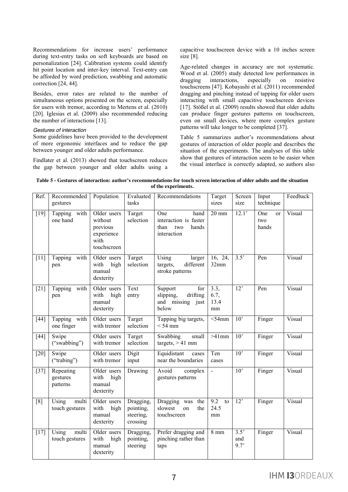Recommendations for increase users' performance during text-entry tasks on soft keyboards are based on personalization [24]. Calibration systems could identify hit point location and inter-key interval. Text-entry can be afforded by word prediction, swabbing and automatic correction [24, 44].

Besides, error rates are related to the number of simultaneous options presented on the screen, especially for users with tremor, according to Mertens et al. (2010) [20]. Iglesias et al. (2009) also recommended reducing the number of interactions [13].

#### *Gestures of interaction*

Some guidelines have been provided to the development of more ergonomic interfaces and to reduce the gap between younger and older adults performance.

Findlater et al. (2013) showed that touchscreen reduces the gap between younger and older adults using a capacitive touchscreen device with a 10 inches screen size [8].

Age-related changes in accuracy are not systematic. Wood et al. (2005) study detected low performances in dragging interactions, especially on resistive dragging interactions, especially on resistive touchscreens [47]. Kobayashi et al. (2011) recommended dragging and pinching instead of tapping for older users interacting with small capacitive touchscreen devices [17]. Stößel et al. (2009) results showed that older adults can produce finger gestures patterns on touchscreen, even on small devices, where more complex gesture patterns will take longer to be completed [37].

Table 5 summarizes author's recommendations about gestures of interaction of older people and describes the situation of the experiments. The analyses of this table show that gestures of interaction seem to be easier when the visual interface is correctly adapted, so authors also

**Table 5 - Gestures of interaction: author's recommendations for touch screen interaction of older adults and the situation of the experiments.**

| Ref.   | Recommended<br>gestures           | Population                                                              | Evaluated<br>tasks                              | Recommendations                                                             | Target<br>sizes            | Screen<br>size                  | Input<br>technique                   | Feedback |
|--------|-----------------------------------|-------------------------------------------------------------------------|-------------------------------------------------|-----------------------------------------------------------------------------|----------------------------|---------------------------------|--------------------------------------|----------|
| $[19]$ | with<br>Tapping<br>one hand       | Older users<br>without<br>previous<br>experience<br>with<br>touchscreen | Target<br>selection                             | One<br>hand<br>interaction is faster<br>than<br>two<br>hands<br>interaction | $20 \text{ mm}$            | 12.1'                           | One<br><sub>or</sub><br>two<br>hands | Visual   |
| $[11]$ | Tapping<br>with<br>pen            | Older users<br>with<br>high<br>manual<br>dexterity                      | Target<br>selection                             | Using<br>larger<br>different<br>targets,<br>stroke patterns                 | 16, 24,<br>32mm            | 3.5'                            | Pen                                  | Visual   |
| $[21]$ | Tapping<br>with<br>pen            | Older users<br>with<br>high<br>manual<br>dexterity                      | Text<br>entry                                   | Support<br>for<br>slipping,<br>drifting<br>and missing just<br>below        | 3.3,<br>6.7,<br>13.4<br>mm | 12'                             | Pen                                  | Visual   |
| $[44]$ | Tapping with<br>one finger        | Older users<br>with tremor                                              | Target<br>selection                             | Tapping big targets,<br>$<$ 54 mm                                           | $<$ 54mm                   | $\overline{10}$                 | Finger                               | Visual   |
| $[44]$ | Swipe<br>("swabbing")             | Older users<br>with tremor                                              | Target<br>selection                             | Swabbing<br>small<br>targets, $> 41$ mm                                     | $>41$ mm                   | 10'                             | Finger                               | Visual   |
| $[20]$ | Swipe<br>("trabing")              | Older users<br>with tremor                                              | Digit<br>input                                  | Equidistant<br>cases<br>near the boundaries                                 | Ten<br>cases               | 10 <sup>2</sup>                 | Finger                               | Visual   |
| $[37]$ | Repeating<br>gestures<br>patterns | Older users<br>with<br>high<br>manual<br>dexterity                      | Drawing                                         | Avoid<br>complex<br>gestures patterns                                       | $\blacksquare$             | 10'                             | Finger                               | Visual   |
| [8]    | Using<br>multi<br>touch gestures  | Older users<br>with<br>high<br>manual<br>dexterity                      | Dragging,<br>pointing,<br>steering,<br>crossing | Dragging was<br>the<br>slowest<br>the<br>on<br>touchscreen                  | 9.2<br>to<br>24.5<br>mm    | 12'                             | Finger                               | Visual   |
| $[17]$ | Using<br>multi<br>touch gestures  | Older users<br>with<br>high<br>manual<br>dexterity                      | Dragging,<br>pointing,<br>steering              | Prefer dragging and<br>pinching rather than<br>taps                         | $8 \text{ mm}$             | $\overline{3.5}$<br>and<br>9.7' | Finger                               | Visual   |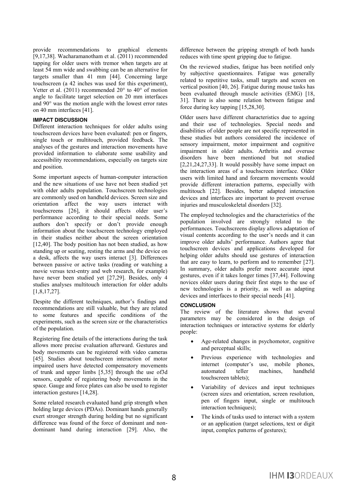provide recommendations to graphical elements [9,17,38]. Wacharamanotham et al. (2011) recommended tapping for older users with tremor when targets are at least 54 mm wide and swabbing can be an alternative for targets smaller than 41 mm [44]. Concerning large touchscreen (a 42 inches was used for this experiment), Vetter et al. (2011) recommended 20° to 40° of motion angle to facilitate target selection on 20 mm interfaces and 90° was the motion angle with the lowest error rates on 40 mm interfaces [41].

## **IMPACT DISCUSSION**

Different interaction techniques for older adults using touchscreen devices have been evaluated: pen or fingers, single touch or multitouch, provided feedback. The analyses of the gestures and interaction movements have provided information to elaborate some usability and accessibility recommendations, especially on targets size and position.

Some important aspects of human-computer interaction and the new situations of use have not been studied yet with older adults population. Touchscreen technologies are commonly used on handheld devices. Screen size and orientation affect the way users interact with touchscreens [26], it should affects older user's performance according to their special needs. Some authors don't specify or don't provide enough information about the touchscreen technology employed in their studies neither about the screen orientation [12,40]. The body position has not been studied, as how standing up or seating, resting the arms and the device on a desk, affects the way users interact [3]. Differences between passive or active tasks (reading or watching a movie versus text-entry and web research, for example) have never been studied yet [27,29]. Besides, only 4 studies analyses multitouch interaction for older adults [1,8,17,27].

Despite the different techniques, author's findings and recommendations are still valuable, but they are related to some features and specific conditions of the experiments, such as the screen size or the characteristics of the population.

Registering fine details of the interactions during the task allows more precise evaluation afterward. Gestures and body movements can be registered with video cameras [45]. Studies about touchscreen interaction of motor impaired users have detected compensatory movements of trunk and upper limbs [5,35] through the use of3d sensors, capable of registering body movements in the space. Gauge and force plates can also be used to register interaction gestures [14,28].

Some related research evaluated hand grip strength when holding large devices (PDAs). Dominant hands generally exert stronger strength during holding but no significant difference was found of the force of dominant and nondominant hand during interaction [29]. Also, the difference between the gripping strength of both hands reduces with time spent gripping due to fatigue.

On the reviewed studies, fatigue has been notified only by subjective questionnaires. Fatigue was generally related to repetitive tasks, small targets and screen on vertical position [40, 26]. Fatigue during mouse tasks has been evaluated through muscle activities (EMG) [18, 31]. There is also some relation between fatigue and force during key tapping [15,28,30].

Older users have different characteristics due to ageing and their use of technologies. Special needs and disabilities of older people are not specific represented in these studies but authors considered the incidence of sensory impairment, motor impairment and cognitive impairment in older adults. Arthritis and overuse disorders have been mentioned but not studied [2,21,24,27,33]. It would possibly have some impact on the interaction areas of a touchscreen interface. Older users with limited hand and forearm movements would provide different interaction patterns, especially with multitouch [22]. Besides, better adapted interaction devices and interfaces are important to prevent overuse injuries and musculoskeletal disorders [32].

The employed technologies and the characteristics of the population involved are strongly related to the performances. Touchscreens display allows adaptation of visual contents according to the user's needs and it can improve older adults' performance. Authors agree that touchscreen devices and applications developed for helping older adults should use gestures of interaction that are easy to learn, to perform and to remember [27]. In summary, older adults prefer more accurate input gestures, even if it takes longer times [37,44]. Following novices older users during their first steps to the use of new technologies is a priority, as well as adapting devices and interfaces to their special needs [41].

#### **CONCLUSION**

The review of the literature shows that several parameters may be considered in the design of interaction techniques or interactive systems for elderly people:

- Age-related changes in psychomotor, cognitive and perceptual skills;
- Previous experience with technologies and internet (computer's use, mobile phones, automated teller machines, handheld touchscreen tablets);
- x Variability of devices and input techniques (screen sizes and orientation, screen resolution, pen of fingers input, single or multitouch interaction techniques);
- The kinds of tasks used to interact with a system or an application (target selections, text or digit input, complex patterns of gestures);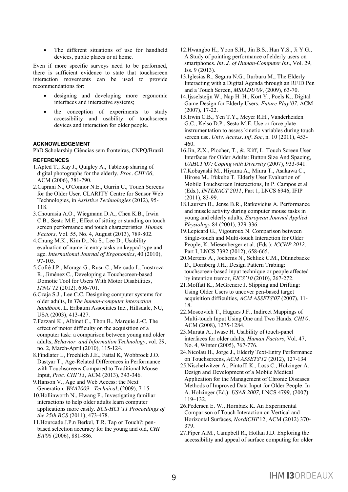The different situations of use for handheld devices, public places or at home.

Even if more specific surveys need to be performed, there is sufficient evidence to state that touchscreen interaction movements can be used to provide recommendations for:

- designing and developing more ergonomic interfaces and interactive systems;
- the conception of experiments to study accessibility and usability of touchscreen devices and interaction for older people.

#### **ACKNOWLEDGEMENT**

PhD Scholarship Ciências sem fronteiras, CNPQ/Brazil.

#### **REFERENCES**

- 1.Apted T., Kay J., Quigley A., Tabletop sharing of digital photographs for the elderly. *Proc. CHI'06,* ACM (2006), 781-790.
- 2.Caprani N., O'Connor N.E., Gurrin C., Touch Screens for the Older User*,* CLARITY Centre for Sensor Web Technologies, in *Assistive Technologies* (2012), 95- 118.
- 3.Chourasia A.O., Wiegmann D.A., Chen K.B., Irwin C.B., Sesto M.E., Effect of sitting or standing on touch screen performance and touch characteristics. *Human Factors,* Vol. 55, No. 4, August (2013), 789-802.
- 4.Chung M.K., Kim D., Na S., Lee D., Usability evaluation of numeric entry tasks on keypad type and age. *International Journal of Ergonomics*, 40 (2010), 97-105.
- 5.Cofré J.P., Moraga G., Rusu C., Mercado I., Inostroza R., Jiménez C., Developing a Touchscreen-based Domotic Tool for Users With Motor Disabilities, *ITNG'12* (2012), 696-701.
- 6.Czaja S.J., Lee C.C. Designing computer systems for older adults, In *The human-computer interaction handbook*, L. Erlbaum Associates Inc., Hillsdale, NU, USA (2003), 413-427.
- 7.Fezzani K., Albinet C., Thon B., Marquie J.-C. The effect of motor difficulty on the acquisition of a computer task: a comparison between young and older adults, *Behavior and Information Technology*, vol. 29, no. 2, March-April (2010), 115-124.
- 8.Findlater L, Froehlich J.E., Fattal K, Wobbrock J.O. Dastyar T., Age-Related Differences in Performance with Touchscreens Compared to Traditional Mouse Input, *Proc. CHI'13*, ACM (2013), 343-346.
- 9.Hanson V., Age and Web Access: the Next Generation*, W4A2009 - Technical*, (2009), 7-15.
- 10.Hollinworth N., Hwang F., Investigating familiar interactions to help older adults learn computer applications more easily. *BCS-HCI '11 Proceedings of the 25th BCS* (2011), 473-478.
- 11.Hourcade J.P.n Berkel, T.R. Tap or Touch?: penbased selection accuracy for the young and old, *CHI EA'06* (2006), 881-886.
- 12.Hwangbo H., Yoon S.H., Jin B.S., Han Y.S., Ji Y.G., A Study of pointing performance of elderly users on smartphones. *Int. J. of Human-Computer Int.*, Vol. 29, Iss. 9 (2013).
- 13.Iglesias R., Segura N.G., Iturburu M., The Elderly Interacting with a Digital Agenda through an RFID Pen and a Touch Screen, *MSIADU'09*, (2009), 63-70.
- 14.Ijsselsteijn W., Nap H. H., Kort Y., Poels K., Digital Game Design for Elderly Users. *Future Play'07*, ACM (2007), 17-22.
- 15.Irwin C.B., Yen T.Y., Meyer R.H., Vanderheiden G.C., Kelso D.P., Sesto M.E. Use or force plate instrumentation to assess kinetic variables during touch screen use. *Univ. Access. Inf. Soc*, n. 10 (2011), 453- 460.
- 16.Jin, Z.X., Plocher, T., &. Kiff, L. Touch Screen User Interfaces for Older Adults: Button Size And Spacing, *UAHCI '07: Coping with Diversity* (2007), 933-941.
- 17.Kobayashi M., Hiyama A., Miura T., Asakawa C., Hirose M., Ifukube T. Elderly User Evaluation of Mobile Touchscreen Interactions, In P. Campos et al (Eds.), *INTERACT 2011*, Part 1, LNCS 6946, IFIP (2011), 83-99.
- 18.Laursen B., Jense B.R., Ratkevicius A. Performance and muscle activity during computer mouse tasks in young and elderly adults, *European Journal Applied Physiology* 84 (2001), 329-336.
- 19.Lepicard G., Vigouroux N. Comparison between Single-touch and Multi-touch Interaction for Older People, K. Miesenberger et al. (Eds.): *ICCHP 2012*, Part I, LNCS 7392 (2012), 658-665.
- 20.Mertens A., Jochems N., Schlick C.M., Dünnebacke D., Dornberg J.H., Design Pattern Trabing: touchscreen-based input technique or people affected by intention tremor, *EICS'10* (2010), 267-272.
- 21.Moffatt K., McGrenere J. Slipping and Drifting: Using Older Users to uncover pen-based target acquisition difficulties, *ACM ASSETS'07* (2007), 11- 18.
- 22.Moscovich T., Hugues J.F., Indirect Mappings of Multi-touch Input Using One and Two Hands*, CHI'0,*  ACM (2008), 1275-1284.
- 23.Murata A., Iwase H. Usability of touch-panel interfaces for older adults, *Human Factors*, Vol. 47, No. 4, Winter (2005), 767-776.
- 24.Nicolau H., Jorge J., Elderly Text-Entry Performance on Touchscreens, *ACM ASSETS'12* (2012), 127-134.
- 25.Nischelwitzer A., Pintoffl K., Loss C., Holzinger A. Design and Development of a Mobile Medical Application for the Management of Chronic Diseases: Methods of Improved Data Input for Older People. In A. Holzinger (Ed.): *USAB 2007*, LNCS 4799, (2007) 119–132.
- 26.Pedersen E. W., Hornbæk K. An Experimental Comparison of Touch Interaction on Vertical and Horizontal Surfaces, *NordiCHI*'12, ACM (2012) 370- 379.
- 27.Piper A.M., Campbell R., Hollan J.D. Exploring the accessibility and appeal of surface computing for older